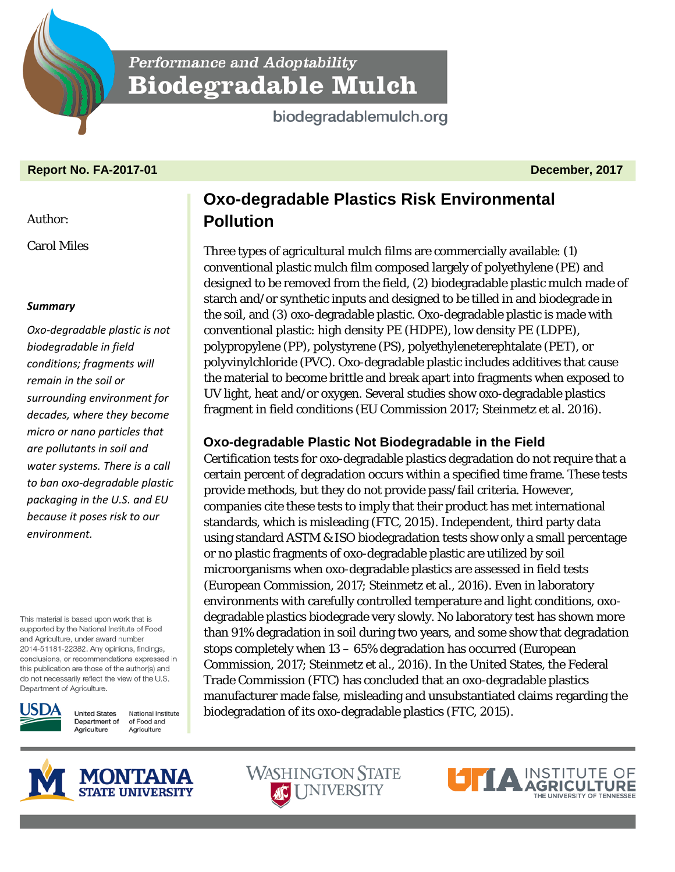

**Performance and Adoptability Biodegradable Mulch** 

biodegradablemulch.org

# **Report No. FA-2017-01 December, 2017**

## Author:

Carol Miles

## *Summary*

*Oxo-degradable plastic is not biodegradable in field conditions; fragments will remain in the soil or surrounding environment for decades, where they become micro or nano particles that are pollutants in soil and water systems. There is a call to ban oxo-degradable plastic packaging in the U.S. and EU because it poses risk to our environment.*

This material is based upon work that is supported by the National Institute of Food and Agriculture, under award number 2014-51181-22382. Any opinions, findings, conclusions, or recommendations expressed in this publication are those of the author(s) and do not necessarily reflect the view of the U.S. Department of Agriculture.



**United States** National Institute Department of of Food and Agriculture Agriculture

# **Oxo-degradable Plastics Risk Environmental Pollution**

Three types of agricultural mulch films are commercially available: (1) conventional plastic mulch film composed largely of polyethylene (PE) and designed to be removed from the field, (2) biodegradable plastic mulch made of starch and/or synthetic inputs and designed to be tilled in and biodegrade in the soil, and (3) oxo-degradable plastic. Oxo-degradable plastic is made with conventional plastic: high density PE (HDPE), low density PE (LDPE), polypropylene (PP), polystyrene (PS), polyethyleneterephtalate (PET), or polyvinylchloride (PVC). Oxo-degradable plastic includes additives that cause the material to become brittle and break apart into fragments when exposed to UV light, heat and/or oxygen. Several studies show oxo-degradable plastics fragment in field conditions (EU Commission 2017; Steinmetz et al. 2016).

# **Oxo-degradable Plastic Not Biodegradable in the Field**

Certification tests for oxo-degradable plastics degradation do not require that a certain percent of degradation occurs within a specified time frame. These tests provide methods, but they do not provide pass/fail criteria. However, companies cite these tests to imply that their product has met international standards, which is misleading (FTC, 2015). Independent, third party data using standard ASTM & ISO biodegradation tests show only a small percentage or no plastic fragments of oxo-degradable plastic are utilized by soil microorganisms when oxo-degradable plastics are assessed in field tests (European Commission, 2017; Steinmetz et al., 2016). Even in laboratory environments with carefully controlled temperature and light conditions, oxodegradable plastics biodegrade very slowly. No laboratory test has shown more than 91% degradation in soil during two years, and some show that degradation stops completely when 13 – 65% degradation has occurred (European Commission, 2017; Steinmetz et al., 2016). In the United States, the Federal Trade Commission (FTC) has concluded that an oxo-degradable plastics manufacturer made false, misleading and unsubstantiated claims regarding the biodegradation of its oxo-degradable plastics (FTC, 2015).